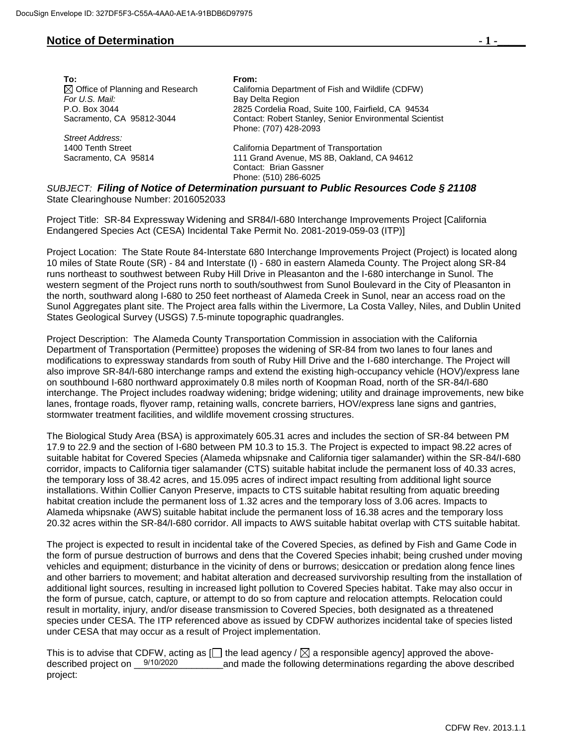## **Notice of Determination 1 -**

| To:                                         | From:                                                                                         |
|---------------------------------------------|-----------------------------------------------------------------------------------------------|
| $\boxtimes$ Office of Planning and Research | California Department of Fish and Wildlife (CDFW)                                             |
| For U.S. Mail:                              | Bay Delta Region                                                                              |
| P.O. Box 3044                               | 2825 Cordelia Road, Suite 100, Fairfield, CA 94534                                            |
| Sacramento, CA 95812-3044                   | Contact: Robert Stanley, Senior Environmental Scientist<br>Phone: (707) 428-2093              |
| Street Address:                             |                                                                                               |
| 1400 Tenth Street                           | California Department of Transportation                                                       |
| Sacramento, CA 95814                        | 111 Grand Avenue, MS 8B, Oakland, CA 94612                                                    |
|                                             | Contact: Brian Gassner                                                                        |
|                                             | Phone: (510) 286-6025                                                                         |
|                                             | $D \cup D \cap T$ . Filippi of Notice of Determination nuration to Dublic Decenses Cade S. 31 |

*SUBJECT: Filing of Notice of Determination pursuant to Public Resources Code § 21108* State Clearinghouse Number: 2016052033

Project Title: SR-84 Expressway Widening and SR84/I-680 Interchange Improvements Project [California Endangered Species Act (CESA) Incidental Take Permit No. 2081-2019-059-03 (ITP)]

Project Location: The State Route 84-Interstate 680 Interchange Improvements Project (Project) is located along 10 miles of State Route (SR) - 84 and Interstate (I) - 680 in eastern Alameda County. The Project along SR-84 runs northeast to southwest between Ruby Hill Drive in Pleasanton and the I-680 interchange in Sunol. The western segment of the Project runs north to south/southwest from Sunol Boulevard in the City of Pleasanton in the north, southward along I-680 to 250 feet northeast of Alameda Creek in Sunol, near an access road on the Sunol Aggregates plant site. The Project area falls within the Livermore, La Costa Valley, Niles, and Dublin United States Geological Survey (USGS) 7.5-minute topographic quadrangles.

Project Description: The Alameda County Transportation Commission in association with the California Department of Transportation (Permittee) proposes the widening of SR-84 from two lanes to four lanes and modifications to expressway standards from south of Ruby Hill Drive and the I-680 interchange. The Project will also improve SR-84/I-680 interchange ramps and extend the existing high-occupancy vehicle (HOV)/express lane on southbound I-680 northward approximately 0.8 miles north of Koopman Road, north of the SR-84/I-680 interchange. The Project includes roadway widening; bridge widening; utility and drainage improvements, new bike lanes, frontage roads, flyover ramp, retaining walls, concrete barriers, HOV/express lane signs and gantries, stormwater treatment facilities, and wildlife movement crossing structures.

The Biological Study Area (BSA) is approximately 605.31 acres and includes the section of SR-84 between PM 17.9 to 22.9 and the section of I-680 between PM 10.3 to 15.3. The Project is expected to impact 98.22 acres of suitable habitat for Covered Species (Alameda whipsnake and California tiger salamander) within the SR-84/I-680 corridor, impacts to California tiger salamander (CTS) suitable habitat include the permanent loss of 40.33 acres, the temporary loss of 38.42 acres, and 15.095 acres of indirect impact resulting from additional light source installations. Within Collier Canyon Preserve, impacts to CTS suitable habitat resulting from aquatic breeding habitat creation include the permanent loss of 1.32 acres and the temporary loss of 3.06 acres. Impacts to Alameda whipsnake (AWS) suitable habitat include the permanent loss of 16.38 acres and the temporary loss 20.32 acres within the SR-84/I-680 corridor. All impacts to AWS suitable habitat overlap with CTS suitable habitat.

The project is expected to result in incidental take of the Covered Species, as defined by Fish and Game Code in the form of pursue destruction of burrows and dens that the Covered Species inhabit; being crushed under moving vehicles and equipment; disturbance in the vicinity of dens or burrows; desiccation or predation along fence lines and other barriers to movement; and habitat alteration and decreased survivorship resulting from the installation of additional light sources, resulting in increased light pollution to Covered Species habitat. Take may also occur in the form of pursue, catch, capture, or attempt to do so from capture and relocation attempts. Relocation could result in mortality, injury, and/or disease transmission to Covered Species, both designated as a threatened species under CESA. The ITP referenced above as issued by CDFW authorizes incidental take of species listed under CESA that may occur as a result of Project implementation.

This is to advise that CDFW, acting as  $[]$  the lead agency /  $\boxtimes$  a responsible agency] approved the aboveand made the following determinations regarding the above described project: described project on 9/10/2020